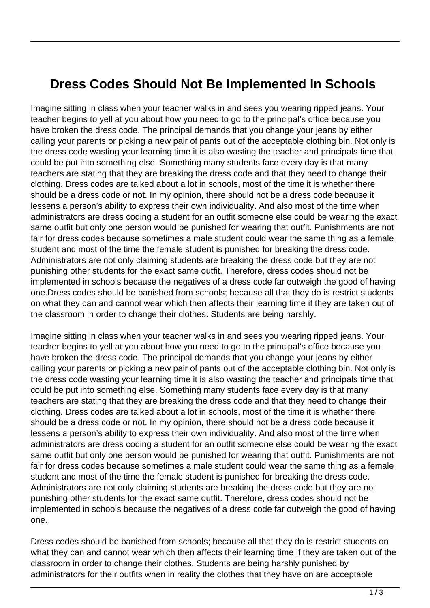## **Dress Codes Should Not Be Implemented In Schools**

Imagine sitting in class when your teacher walks in and sees you wearing ripped jeans. Your teacher begins to yell at you about how you need to go to the principal's office because you have broken the dress code. The principal demands that you change your jeans by either calling your parents or picking a new pair of pants out of the acceptable clothing bin. Not only is the dress code wasting your learning time it is also wasting the teacher and principals time that could be put into something else. Something many students face every day is that many teachers are stating that they are breaking the dress code and that they need to change their clothing. Dress codes are talked about a lot in schools, most of the time it is whether there should be a dress code or not. In my opinion, there should not be a dress code because it lessens a person's ability to express their own individuality. And also most of the time when administrators are dress coding a student for an outfit someone else could be wearing the exact same outfit but only one person would be punished for wearing that outfit. Punishments are not fair for dress codes because sometimes a male student could wear the same thing as a female student and most of the time the female student is punished for breaking the dress code. Administrators are not only claiming students are breaking the dress code but they are not punishing other students for the exact same outfit. Therefore, dress codes should not be implemented in schools because the negatives of a dress code far outweigh the good of having one.Dress codes should be banished from schools; because all that they do is restrict students on what they can and cannot wear which then affects their learning time if they are taken out of the classroom in order to change their clothes. Students are being harshly.

Imagine sitting in class when your teacher walks in and sees you wearing ripped jeans. Your teacher begins to yell at you about how you need to go to the principal's office because you have broken the dress code. The principal demands that you change your jeans by either calling your parents or picking a new pair of pants out of the acceptable clothing bin. Not only is the dress code wasting your learning time it is also wasting the teacher and principals time that could be put into something else. Something many students face every day is that many teachers are stating that they are breaking the dress code and that they need to change their clothing. Dress codes are talked about a lot in schools, most of the time it is whether there should be a dress code or not. In my opinion, there should not be a dress code because it lessens a person's ability to express their own individuality. And also most of the time when administrators are dress coding a student for an outfit someone else could be wearing the exact same outfit but only one person would be punished for wearing that outfit. Punishments are not fair for dress codes because sometimes a male student could wear the same thing as a female student and most of the time the female student is punished for breaking the dress code. Administrators are not only claiming students are breaking the dress code but they are not punishing other students for the exact same outfit. Therefore, dress codes should not be implemented in schools because the negatives of a dress code far outweigh the good of having one.

Dress codes should be banished from schools; because all that they do is restrict students on what they can and cannot wear which then affects their learning time if they are taken out of the classroom in order to change their clothes. Students are being harshly punished by administrators for their outfits when in reality the clothes that they have on are acceptable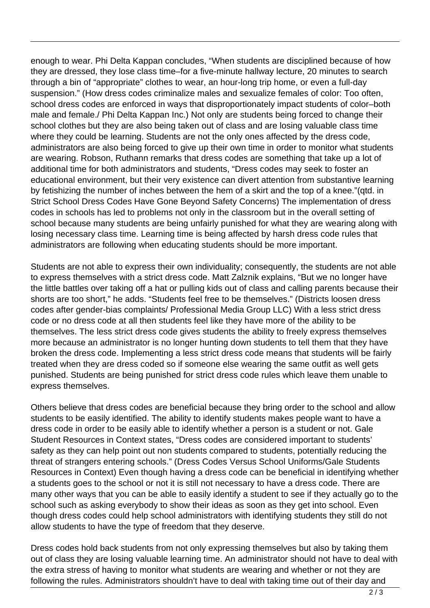enough to wear. Phi Delta Kappan concludes, "When students are disciplined because of how they are dressed, they lose class time–for a five-minute hallway lecture, 20 minutes to search through a bin of "appropriate" clothes to wear, an hour-long trip home, or even a full-day suspension." (How dress codes criminalize males and sexualize females of color: Too often, school dress codes are enforced in ways that disproportionately impact students of color–both male and female./ Phi Delta Kappan Inc.) Not only are students being forced to change their school clothes but they are also being taken out of class and are losing valuable class time where they could be learning. Students are not the only ones affected by the dress code, administrators are also being forced to give up their own time in order to monitor what students are wearing. Robson, Ruthann remarks that dress codes are something that take up a lot of additional time for both administrators and students, "Dress codes may seek to foster an educational environment, but their very existence can divert attention from substantive learning by fetishizing the number of inches between the hem of a skirt and the top of a knee."(qtd. in Strict School Dress Codes Have Gone Beyond Safety Concerns) The implementation of dress codes in schools has led to problems not only in the classroom but in the overall setting of school because many students are being unfairly punished for what they are wearing along with losing necessary class time. Learning time is being affected by harsh dress code rules that administrators are following when educating students should be more important.

Students are not able to express their own individuality; consequently, the students are not able to express themselves with a strict dress code. Matt Zalznik explains, "But we no longer have the little battles over taking off a hat or pulling kids out of class and calling parents because their shorts are too short," he adds. "Students feel free to be themselves." (Districts loosen dress codes after gender-bias complaints/ Professional Media Group LLC) With a less strict dress code or no dress code at all then students feel like they have more of the ability to be themselves. The less strict dress code gives students the ability to freely express themselves more because an administrator is no longer hunting down students to tell them that they have broken the dress code. Implementing a less strict dress code means that students will be fairly treated when they are dress coded so if someone else wearing the same outfit as well gets punished. Students are being punished for strict dress code rules which leave them unable to express themselves.

Others believe that dress codes are beneficial because they bring order to the school and allow students to be easily identified. The ability to identify students makes people want to have a dress code in order to be easily able to identify whether a person is a student or not. Gale Student Resources in Context states, "Dress codes are considered important to students' safety as they can help point out non students compared to students, potentially reducing the threat of strangers entering schools." (Dress Codes Versus School Uniforms/Gale Students Resources in Context) Even though having a dress code can be beneficial in identifying whether a students goes to the school or not it is still not necessary to have a dress code. There are many other ways that you can be able to easily identify a student to see if they actually go to the school such as asking everybody to show their ideas as soon as they get into school. Even though dress codes could help school administrators with identifying students they still do not allow students to have the type of freedom that they deserve.

Dress codes hold back students from not only expressing themselves but also by taking them out of class they are losing valuable learning time. An administrator should not have to deal with the extra stress of having to monitor what students are wearing and whether or not they are following the rules. Administrators shouldn't have to deal with taking time out of their day and